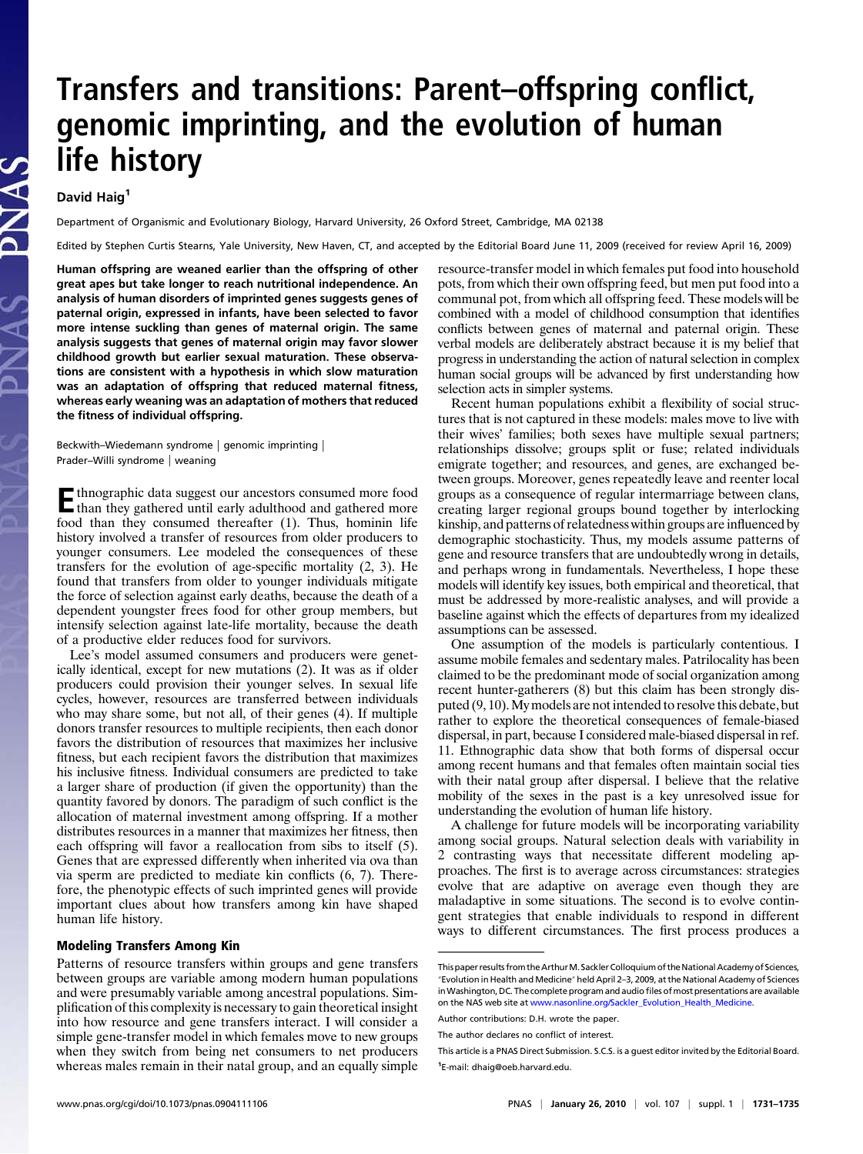# Transfers and transitions: Parent–offspring conflict, genomic imprinting, and the evolution of human life history

## David Haig<sup>1</sup>

Department of Organismic and Evolutionary Biology, Harvard University, 26 Oxford Street, Cambridge, MA 02138

Edited by Stephen Curtis Stearns, Yale University, New Haven, CT, and accepted by the Editorial Board June 11, 2009 (received for review April 16, 2009)

Human offspring are weaned earlier than the offspring of other great apes but take longer to reach nutritional independence. An analysis of human disorders of imprinted genes suggests genes of paternal origin, expressed in infants, have been selected to favor more intense suckling than genes of maternal origin. The same analysis suggests that genes of maternal origin may favor slower childhood growth but earlier sexual maturation. These observations are consistent with a hypothesis in which slow maturation was an adaptation of offspring that reduced maternal fitness, whereas early weaning was an adaptation of mothers that reduced the fitness of individual offspring.

Beckwith–Wiedemann syndrome | genomic imprinting | Prader–Willi syndrome | weaning

Ethnographic data suggest our ancestors consumed more food than they gathered until early adulthood and gathered more food than they consumed thereafter (1). Thus, hominin life history involved a transfer of resources from older producers to younger consumers. Lee modeled the consequences of these transfers for the evolution of age-specific mortality (2, 3). He found that transfers from older to younger individuals mitigate the force of selection against early deaths, because the death of a dependent youngster frees food for other group members, but intensify selection against late-life mortality, because the death of a productive elder reduces food for survivors.

Lee's model assumed consumers and producers were genetically identical, except for new mutations (2). It was as if older producers could provision their younger selves. In sexual life cycles, however, resources are transferred between individuals who may share some, but not all, of their genes (4). If multiple donors transfer resources to multiple recipients, then each donor favors the distribution of resources that maximizes her inclusive fitness, but each recipient favors the distribution that maximizes his inclusive fitness. Individual consumers are predicted to take a larger share of production (if given the opportunity) than the quantity favored by donors. The paradigm of such conflict is the allocation of maternal investment among offspring. If a mother distributes resources in a manner that maximizes her fitness, then each offspring will favor a reallocation from sibs to itself (5). Genes that are expressed differently when inherited via ova than via sperm are predicted to mediate kin conflicts (6, 7). Therefore, the phenotypic effects of such imprinted genes will provide important clues about how transfers among kin have shaped human life history.

## Modeling Transfers Among Kin

Patterns of resource transfers within groups and gene transfers between groups are variable among modern human populations and were presumably variable among ancestral populations. Simplification of this complexity is necessary to gain theoretical insight into how resource and gene transfers interact. I will consider a simple gene-transfer model in which females move to new groups when they switch from being net consumers to net producers whereas males remain in their natal group, and an equally simple resource-transfer model in which females put food into household pots, from which their own offspring feed, but men put food into a communal pot, from which all offspring feed. These models will be combined with a model of childhood consumption that identifies conflicts between genes of maternal and paternal origin. These verbal models are deliberately abstract because it is my belief that progress in understanding the action of natural selection in complex human social groups will be advanced by first understanding how selection acts in simpler systems.

Recent human populations exhibit a flexibility of social structures that is not captured in these models: males move to live with their wives' families; both sexes have multiple sexual partners; relationships dissolve; groups split or fuse; related individuals emigrate together; and resources, and genes, are exchanged between groups. Moreover, genes repeatedly leave and reenter local groups as a consequence of regular intermarriage between clans, creating larger regional groups bound together by interlocking kinship, and patterns of relatedness within groups are influenced by demographic stochasticity. Thus, my models assume patterns of gene and resource transfers that are undoubtedly wrong in details, and perhaps wrong in fundamentals. Nevertheless, I hope these models will identify key issues, both empirical and theoretical, that must be addressed by more-realistic analyses, and will provide a baseline against which the effects of departures from my idealized assumptions can be assessed.

One assumption of the models is particularly contentious. I assume mobile females and sedentary males. Patrilocality has been claimed to be the predominant mode of social organization among recent hunter-gatherers (8) but this claim has been strongly disputed (9, 10).My models are not intended to resolve this debate, but rather to explore the theoretical consequences of female-biased dispersal, in part, because I considered male-biased dispersal in ref. 11. Ethnographic data show that both forms of dispersal occur among recent humans and that females often maintain social ties with their natal group after dispersal. I believe that the relative mobility of the sexes in the past is a key unresolved issue for understanding the evolution of human life history.

A challenge for future models will be incorporating variability among social groups. Natural selection deals with variability in 2 contrasting ways that necessitate different modeling approaches. The first is to average across circumstances: strategies evolve that are adaptive on average even though they are maladaptive in some situations. The second is to evolve contingent strategies that enable individuals to respond in different ways to different circumstances. The first process produces a

This paper results from the Arthur M. Sackler Colloquium of the National Academy of Sciences, ″Evolution in Health and Medicine″ held April 2–3, 2009, at the National Academy of Sciences in Washington, DC. The complete program and audio files of most presentations are available on the NAS web site at www.nasonline.org/Sackler\_Evolution\_Health\_Medicine.

Author contributions: D.H. wrote the paper.

The author declares no conflict of interest.

This article is a PNAS Direct Submission. S.C.S. is a guest editor invited by the Editorial Board. 1 E-mail: dhaig@oeb.harvard.edu.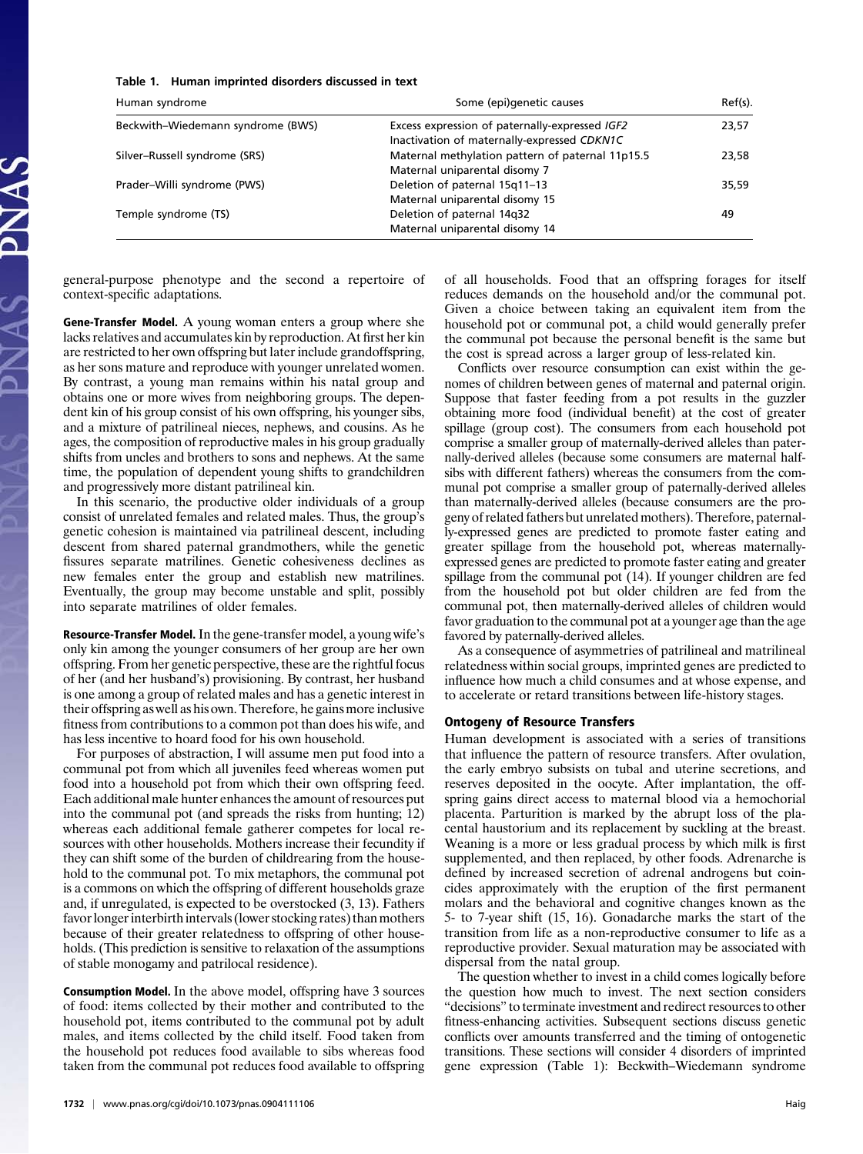| Human syndrome                    | Some (epi)genetic causes                         | $Ref(s)$ . |
|-----------------------------------|--------------------------------------------------|------------|
| Beckwith-Wiedemann syndrome (BWS) | Excess expression of paternally-expressed IGF2   | 23,57      |
|                                   | Inactivation of maternally-expressed CDKN1C      |            |
| Silver-Russell syndrome (SRS)     | Maternal methylation pattern of paternal 11p15.5 | 23,58      |
|                                   | Maternal uniparental disomy 7                    |            |
| Prader-Willi syndrome (PWS)       | Deletion of paternal 15q11-13                    | 35,59      |
|                                   | Maternal uniparental disomy 15                   |            |
| Temple syndrome (TS)              | Deletion of paternal 14q32                       | 49         |
|                                   | Maternal uniparental disomy 14                   |            |

general-purpose phenotype and the second a repertoire of context-specific adaptations.

Gene-Transfer Model. A young woman enters a group where she lacks relatives and accumulates kin by reproduction. At first her kin are restricted to her own offspring but later include grandoffspring, as her sons mature and reproduce with younger unrelated women. By contrast, a young man remains within his natal group and obtains one or more wives from neighboring groups. The dependent kin of his group consist of his own offspring, his younger sibs, and a mixture of patrilineal nieces, nephews, and cousins. As he ages, the composition of reproductive males in his group gradually shifts from uncles and brothers to sons and nephews. At the same time, the population of dependent young shifts to grandchildren and progressively more distant patrilineal kin.

In this scenario, the productive older individuals of a group consist of unrelated females and related males. Thus, the group's genetic cohesion is maintained via patrilineal descent, including descent from shared paternal grandmothers, while the genetic fissures separate matrilines. Genetic cohesiveness declines as new females enter the group and establish new matrilines. Eventually, the group may become unstable and split, possibly into separate matrilines of older females.

Resource-Transfer Model. In the gene-transfer model, a young wife's only kin among the younger consumers of her group are her own offspring. From her genetic perspective, these are the rightful focus of her (and her husband's) provisioning. By contrast, her husband is one among a group of related males and has a genetic interest in their offspring as well as his own. Therefore, he gains more inclusive fitness from contributions to a common pot than does his wife, and has less incentive to hoard food for his own household.

For purposes of abstraction, I will assume men put food into a communal pot from which all juveniles feed whereas women put food into a household pot from which their own offspring feed. Each additional male hunter enhances the amount of resources put into the communal pot (and spreads the risks from hunting; 12) whereas each additional female gatherer competes for local resources with other households. Mothers increase their fecundity if they can shift some of the burden of childrearing from the household to the communal pot. To mix metaphors, the communal pot is a commons on which the offspring of different households graze and, if unregulated, is expected to be overstocked (3, 13). Fathers favor longer interbirth intervals (lower stocking rates) than mothers because of their greater relatedness to offspring of other households. (This prediction is sensitive to relaxation of the assumptions of stable monogamy and patrilocal residence).

Consumption Model. In the above model, offspring have 3 sources of food: items collected by their mother and contributed to the household pot, items contributed to the communal pot by adult males, and items collected by the child itself. Food taken from the household pot reduces food available to sibs whereas food taken from the communal pot reduces food available to offspring of all households. Food that an offspring forages for itself reduces demands on the household and/or the communal pot. Given a choice between taking an equivalent item from the household pot or communal pot, a child would generally prefer the communal pot because the personal benefit is the same but the cost is spread across a larger group of less-related kin.

Conflicts over resource consumption can exist within the genomes of children between genes of maternal and paternal origin. Suppose that faster feeding from a pot results in the guzzler obtaining more food (individual benefit) at the cost of greater spillage (group cost). The consumers from each household pot comprise a smaller group of maternally-derived alleles than paternally-derived alleles (because some consumers are maternal halfsibs with different fathers) whereas the consumers from the communal pot comprise a smaller group of paternally-derived alleles than maternally-derived alleles (because consumers are the progeny of related fathers but unrelated mothers). Therefore, paternally-expressed genes are predicted to promote faster eating and greater spillage from the household pot, whereas maternallyexpressed genes are predicted to promote faster eating and greater spillage from the communal pot (14). If younger children are fed from the household pot but older children are fed from the communal pot, then maternally-derived alleles of children would favor graduation to the communal pot at a younger age than the age favored by paternally-derived alleles.

As a consequence of asymmetries of patrilineal and matrilineal relatedness within social groups, imprinted genes are predicted to influence how much a child consumes and at whose expense, and to accelerate or retard transitions between life-history stages.

### Ontogeny of Resource Transfers

Human development is associated with a series of transitions that influence the pattern of resource transfers. After ovulation, the early embryo subsists on tubal and uterine secretions, and reserves deposited in the oocyte. After implantation, the offspring gains direct access to maternal blood via a hemochorial placenta. Parturition is marked by the abrupt loss of the placental haustorium and its replacement by suckling at the breast. Weaning is a more or less gradual process by which milk is first supplemented, and then replaced, by other foods. Adrenarche is defined by increased secretion of adrenal androgens but coincides approximately with the eruption of the first permanent molars and the behavioral and cognitive changes known as the 5- to 7-year shift (15, 16). Gonadarche marks the start of the transition from life as a non-reproductive consumer to life as a reproductive provider. Sexual maturation may be associated with dispersal from the natal group.

The question whether to invest in a child comes logically before the question how much to invest. The next section considers "decisions" to terminate investment and redirect resources to other fitness-enhancing activities. Subsequent sections discuss genetic conflicts over amounts transferred and the timing of ontogenetic transitions. These sections will consider 4 disorders of imprinted gene expression (Table 1): Beckwith–Wiedemann syndrome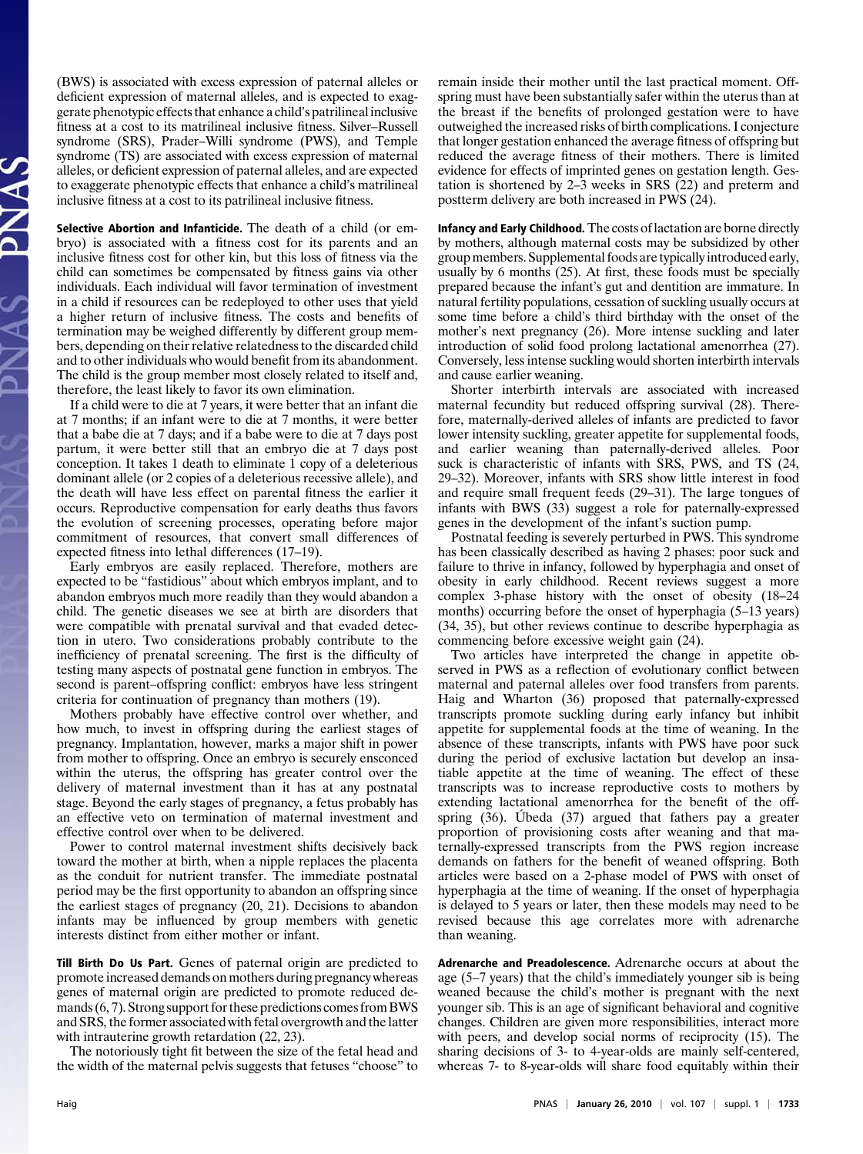(BWS) is associated with excess expression of paternal alleles or deficient expression of maternal alleles, and is expected to exaggerate phenotypic effects that enhance a child's patrilineal inclusive fitness at a cost to its matrilineal inclusive fitness. Silver–Russell syndrome (SRS), Prader–Willi syndrome (PWS), and Temple syndrome (TS) are associated with excess expression of maternal alleles, or deficient expression of paternal alleles, and are expected to exaggerate phenotypic effects that enhance a child's matrilineal inclusive fitness at a cost to its patrilineal inclusive fitness.

Selective Abortion and Infanticide. The death of a child (or embryo) is associated with a fitness cost for its parents and an inclusive fitness cost for other kin, but this loss of fitness via the child can sometimes be compensated by fitness gains via other individuals. Each individual will favor termination of investment in a child if resources can be redeployed to other uses that yield a higher return of inclusive fitness. The costs and benefits of termination may be weighed differently by different group members, depending on their relative relatedness to the discarded child and to other individuals who would benefit from its abandonment. The child is the group member most closely related to itself and, therefore, the least likely to favor its own elimination.

If a child were to die at 7 years, it were better that an infant die at 7 months; if an infant were to die at 7 months, it were better that a babe die at 7 days; and if a babe were to die at 7 days post partum, it were better still that an embryo die at 7 days post conception. It takes 1 death to eliminate 1 copy of a deleterious dominant allele (or 2 copies of a deleterious recessive allele), and the death will have less effect on parental fitness the earlier it occurs. Reproductive compensation for early deaths thus favors the evolution of screening processes, operating before major commitment of resources, that convert small differences of expected fitness into lethal differences (17–19).

Early embryos are easily replaced. Therefore, mothers are expected to be "fastidious" about which embryos implant, and to abandon embryos much more readily than they would abandon a child. The genetic diseases we see at birth are disorders that were compatible with prenatal survival and that evaded detection in utero. Two considerations probably contribute to the inefficiency of prenatal screening. The first is the difficulty of testing many aspects of postnatal gene function in embryos. The second is parent–offspring conflict: embryos have less stringent criteria for continuation of pregnancy than mothers (19).

Mothers probably have effective control over whether, and how much, to invest in offspring during the earliest stages of pregnancy. Implantation, however, marks a major shift in power from mother to offspring. Once an embryo is securely ensconced within the uterus, the offspring has greater control over the delivery of maternal investment than it has at any postnatal stage. Beyond the early stages of pregnancy, a fetus probably has an effective veto on termination of maternal investment and effective control over when to be delivered.

Power to control maternal investment shifts decisively back toward the mother at birth, when a nipple replaces the placenta as the conduit for nutrient transfer. The immediate postnatal period may be the first opportunity to abandon an offspring since the earliest stages of pregnancy (20, 21). Decisions to abandon infants may be influenced by group members with genetic interests distinct from either mother or infant.

Till Birth Do Us Part. Genes of paternal origin are predicted to promote increased demands on mothers during pregnancy whereas genes of maternal origin are predicted to promote reduced demands (6, 7). Strong support for these predictions comes from BWS and SRS, the former associated with fetal overgrowth and the latter with intrauterine growth retardation  $(22, 23)$ .

The notoriously tight fit between the size of the fetal head and the width of the maternal pelvis suggests that fetuses "choose" to

remain inside their mother until the last practical moment. Offspring must have been substantially safer within the uterus than at the breast if the benefits of prolonged gestation were to have outweighed the increased risks of birth complications. I conjecture that longer gestation enhanced the average fitness of offspring but reduced the average fitness of their mothers. There is limited evidence for effects of imprinted genes on gestation length. Gestation is shortened by 2–3 weeks in SRS (22) and preterm and postterm delivery are both increased in PWS (24).

Infancy and Early Childhood. The costs of lactation are borne directly by mothers, although maternal costs may be subsidized by other group members. Supplemental foods are typically introduced early, usually by 6 months (25). At first, these foods must be specially prepared because the infant's gut and dentition are immature. In natural fertility populations, cessation of suckling usually occurs at some time before a child's third birthday with the onset of the mother's next pregnancy (26). More intense suckling and later introduction of solid food prolong lactational amenorrhea (27). Conversely, less intense suckling would shorten interbirth intervals and cause earlier weaning.

Shorter interbirth intervals are associated with increased maternal fecundity but reduced offspring survival (28). Therefore, maternally-derived alleles of infants are predicted to favor lower intensity suckling, greater appetite for supplemental foods, and earlier weaning than paternally-derived alleles. Poor suck is characteristic of infants with SRS, PWS, and TS (24, 29–32). Moreover, infants with SRS show little interest in food and require small frequent feeds (29–31). The large tongues of infants with BWS (33) suggest a role for paternally-expressed genes in the development of the infant's suction pump.

Postnatal feeding is severely perturbed in PWS. This syndrome has been classically described as having 2 phases: poor suck and failure to thrive in infancy, followed by hyperphagia and onset of obesity in early childhood. Recent reviews suggest a more complex 3-phase history with the onset of obesity (18–24 months) occurring before the onset of hyperphagia (5–13 years) (34, 35), but other reviews continue to describe hyperphagia as commencing before excessive weight gain (24).

Two articles have interpreted the change in appetite observed in PWS as a reflection of evolutionary conflict between maternal and paternal alleles over food transfers from parents. Haig and Wharton (36) proposed that paternally-expressed transcripts promote suckling during early infancy but inhibit appetite for supplemental foods at the time of weaning. In the absence of these transcripts, infants with PWS have poor suck during the period of exclusive lactation but develop an insatiable appetite at the time of weaning. The effect of these transcripts was to increase reproductive costs to mothers by extending lactational amenorrhea for the benefit of the offspring (36). Úbeda (37) argued that fathers pay a greater proportion of provisioning costs after weaning and that maternally-expressed transcripts from the PWS region increase demands on fathers for the benefit of weaned offspring. Both articles were based on a 2-phase model of PWS with onset of hyperphagia at the time of weaning. If the onset of hyperphagia is delayed to 5 years or later, then these models may need to be revised because this age correlates more with adrenarche than weaning.

Adrenarche and Preadolescence. Adrenarche occurs at about the age (5–7 years) that the child's immediately younger sib is being weaned because the child's mother is pregnant with the next younger sib. This is an age of significant behavioral and cognitive changes. Children are given more responsibilities, interact more with peers, and develop social norms of reciprocity (15). The sharing decisions of 3- to 4-year-olds are mainly self-centered, whereas 7- to 8-year-olds will share food equitably within their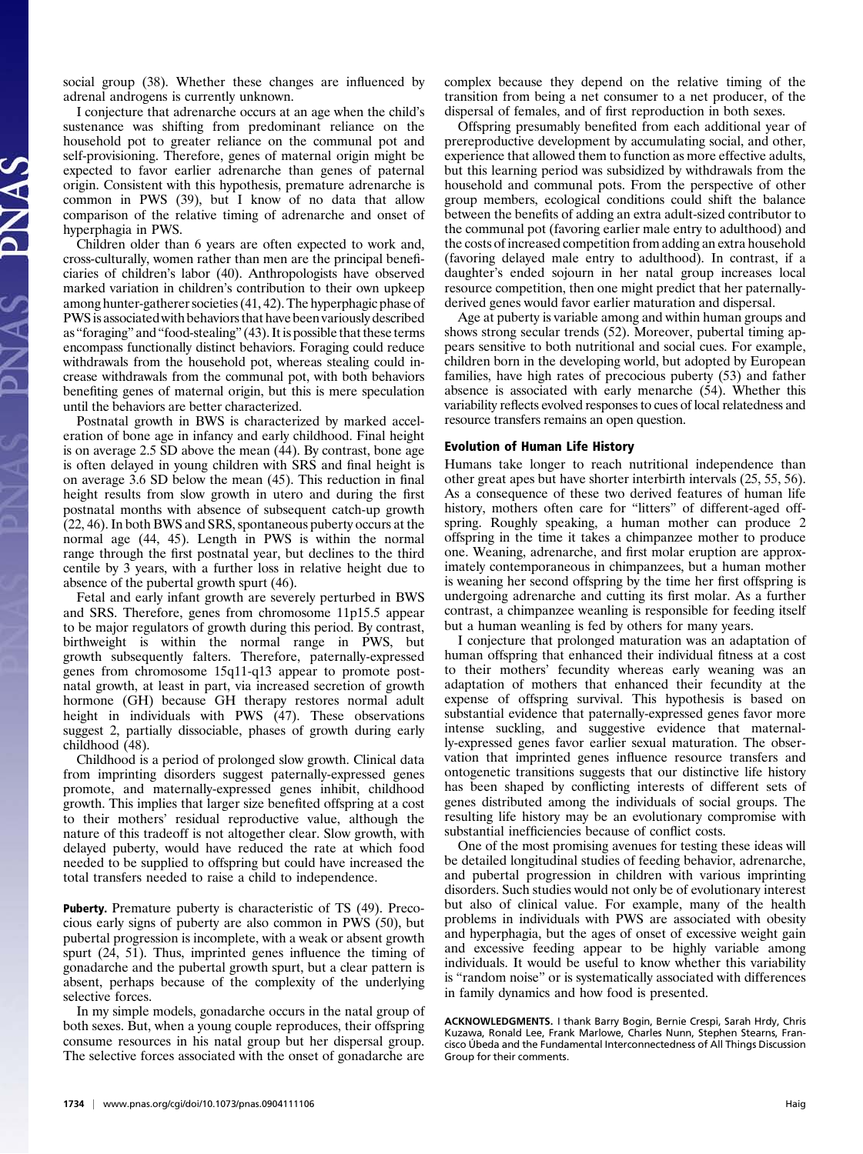social group (38). Whether these changes are influenced by adrenal androgens is currently unknown.

I conjecture that adrenarche occurs at an age when the child's sustenance was shifting from predominant reliance on the household pot to greater reliance on the communal pot and self-provisioning. Therefore, genes of maternal origin might be expected to favor earlier adrenarche than genes of paternal origin. Consistent with this hypothesis, premature adrenarche is common in PWS (39), but I know of no data that allow comparison of the relative timing of adrenarche and onset of hyperphagia in PWS.

Children older than 6 years are often expected to work and, cross-culturally, women rather than men are the principal beneficiaries of children's labor (40). Anthropologists have observed marked variation in children's contribution to their own upkeep among hunter-gatherer societies (41, 42). The hyperphagic phase of PWS is associated with behaviors that have been variously described as "foraging" and "food-stealing" (43). It is possible that these terms encompass functionally distinct behaviors. Foraging could reduce withdrawals from the household pot, whereas stealing could increase withdrawals from the communal pot, with both behaviors benefiting genes of maternal origin, but this is mere speculation until the behaviors are better characterized.

Postnatal growth in BWS is characterized by marked acceleration of bone age in infancy and early childhood. Final height is on average 2.5 SD above the mean (44). By contrast, bone age is often delayed in young children with SRS and final height is on average 3.6 SD below the mean (45). This reduction in final height results from slow growth in utero and during the first postnatal months with absence of subsequent catch-up growth (22, 46). In both BWS and SRS, spontaneous puberty occurs at the normal age (44, 45). Length in PWS is within the normal range through the first postnatal year, but declines to the third centile by 3 years, with a further loss in relative height due to absence of the pubertal growth spurt (46).

Fetal and early infant growth are severely perturbed in BWS and SRS. Therefore, genes from chromosome 11p15.5 appear to be major regulators of growth during this period. By contrast, birthweight is within the normal range in PWS, but growth subsequently falters. Therefore, paternally-expressed genes from chromosome 15q11-q13 appear to promote postnatal growth, at least in part, via increased secretion of growth hormone (GH) because GH therapy restores normal adult height in individuals with PWS (47). These observations suggest 2, partially dissociable, phases of growth during early childhood (48).

Childhood is a period of prolonged slow growth. Clinical data from imprinting disorders suggest paternally-expressed genes promote, and maternally-expressed genes inhibit, childhood growth. This implies that larger size benefited offspring at a cost to their mothers' residual reproductive value, although the nature of this tradeoff is not altogether clear. Slow growth, with delayed puberty, would have reduced the rate at which food needed to be supplied to offspring but could have increased the total transfers needed to raise a child to independence.

Puberty. Premature puberty is characteristic of TS (49). Precocious early signs of puberty are also common in PWS (50), but pubertal progression is incomplete, with a weak or absent growth spurt (24, 51). Thus, imprinted genes influence the timing of gonadarche and the pubertal growth spurt, but a clear pattern is absent, perhaps because of the complexity of the underlying selective forces.

In my simple models, gonadarche occurs in the natal group of both sexes. But, when a young couple reproduces, their offspring consume resources in his natal group but her dispersal group. The selective forces associated with the onset of gonadarche are

complex because they depend on the relative timing of the transition from being a net consumer to a net producer, of the dispersal of females, and of first reproduction in both sexes.

Offspring presumably benefited from each additional year of prereproductive development by accumulating social, and other, experience that allowed them to function as more effective adults, but this learning period was subsidized by withdrawals from the household and communal pots. From the perspective of other group members, ecological conditions could shift the balance between the benefits of adding an extra adult-sized contributor to the communal pot (favoring earlier male entry to adulthood) and the costs of increased competition from adding an extra household (favoring delayed male entry to adulthood). In contrast, if a daughter's ended sojourn in her natal group increases local resource competition, then one might predict that her paternallyderived genes would favor earlier maturation and dispersal.

Age at puberty is variable among and within human groups and shows strong secular trends (52). Moreover, pubertal timing appears sensitive to both nutritional and social cues. For example, children born in the developing world, but adopted by European families, have high rates of precocious puberty (53) and father absence is associated with early menarche (54). Whether this variability reflects evolved responses to cues of local relatedness and resource transfers remains an open question.

#### Evolution of Human Life History

Humans take longer to reach nutritional independence than other great apes but have shorter interbirth intervals (25, 55, 56). As a consequence of these two derived features of human life history, mothers often care for "litters" of different-aged offspring. Roughly speaking, a human mother can produce 2 offspring in the time it takes a chimpanzee mother to produce one. Weaning, adrenarche, and first molar eruption are approximately contemporaneous in chimpanzees, but a human mother is weaning her second offspring by the time her first offspring is undergoing adrenarche and cutting its first molar. As a further contrast, a chimpanzee weanling is responsible for feeding itself but a human weanling is fed by others for many years.

I conjecture that prolonged maturation was an adaptation of human offspring that enhanced their individual fitness at a cost to their mothers' fecundity whereas early weaning was an adaptation of mothers that enhanced their fecundity at the expense of offspring survival. This hypothesis is based on substantial evidence that paternally-expressed genes favor more intense suckling, and suggestive evidence that maternally-expressed genes favor earlier sexual maturation. The observation that imprinted genes influence resource transfers and ontogenetic transitions suggests that our distinctive life history has been shaped by conflicting interests of different sets of genes distributed among the individuals of social groups. The resulting life history may be an evolutionary compromise with substantial inefficiencies because of conflict costs.

One of the most promising avenues for testing these ideas will be detailed longitudinal studies of feeding behavior, adrenarche, and pubertal progression in children with various imprinting disorders. Such studies would not only be of evolutionary interest but also of clinical value. For example, many of the health problems in individuals with PWS are associated with obesity and hyperphagia, but the ages of onset of excessive weight gain and excessive feeding appear to be highly variable among individuals. It would be useful to know whether this variability is "random noise" or is systematically associated with differences in family dynamics and how food is presented.

ACKNOWLEDGMENTS. I thank Barry Bogin, Bernie Crespi, Sarah Hrdy, Chris Kuzawa, Ronald Lee, Frank Marlowe, Charles Nunn, Stephen Stearns, Francisco Úbeda and the Fundamental Interconnectedness of All Things Discussion Group for their comments.